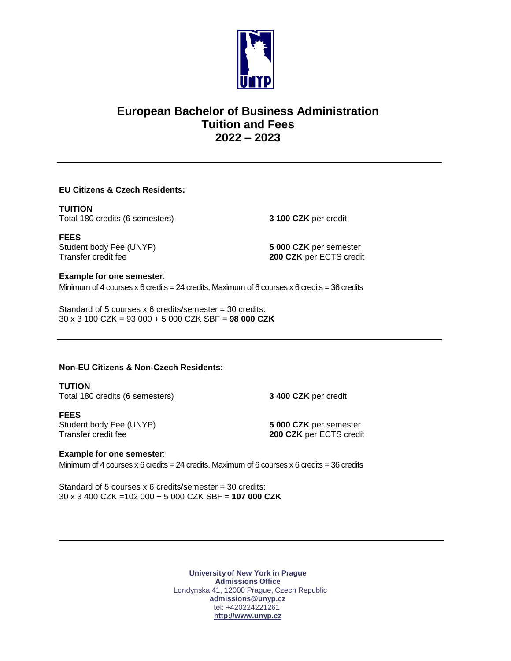

# **European Bachelor of Business Administration Tuition and Fees 2022 – 2023**

# **EU Citizens & Czech Residents:**

#### **TUITION**

Total 180 credits (6 semesters) **3 100 CZK** per credit

**FEES** Student body Fee (UNYP) **5 000 CZK** per semester<br>
Transfer credit fee **1998** 200 CZK per ECTS credit

200 CZK per ECTS credit

#### **Example for one semester**:

Minimum of 4 courses  $x$  6 credits = 24 credits, Maximum of 6 courses  $x$  6 credits = 36 credits

Standard of 5 courses  $x$  6 credits/semester = 30 credits: 30 x 3 100 CZK = 93 000 + 5 000 CZK SBF = **98 000 CZK**

# **Non-EU Citizens & Non-Czech Residents:**

**TUTION** Total 180 credits (6 semesters) **3 400 CZK** per credit

**FEES** Student body Fee (UNYP) **5 000 CZK** per semester Transfer credit fee **200 CZK** per ECTS credit

## **Example for one semester**:

Minimum of 4 courses  $x$  6 credits = 24 credits, Maximum of 6 courses  $x$  6 credits = 36 credits

Standard of 5 courses  $x$  6 credits/semester = 30 credits: 30 x 3 400 CZK =102 000 + 5 000 CZK SBF = **107 000 CZK**

> **University of New York in Prague Admissions Office** Londynska 41, 12000 Prague, Czech Republic **[admissions@unyp.cz](mailto:admissions@unyp.cz)** tel: +420224221261 **[http://www.unyp.cz](http://www.unyp.cz/)**